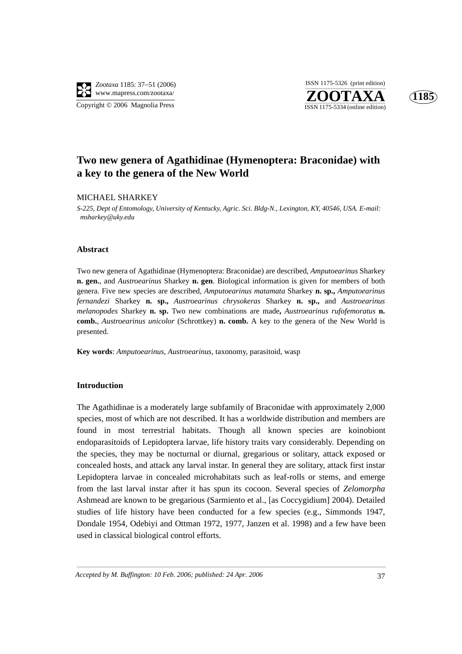

**ZOOTAXA**<br>ISSN 1175-5334 (online edition) ISSN 1175-5326 (print edition)



## **Two new genera of Agathidinae (Hymenoptera: Braconidae) with a key to the genera of the New World**

## MICHAEL SHARKEY

*S-225, Dept of Entomology, University of Kentucky, Agric. Sci. Bldg-N., Lexington, KY, 40546, USA. E-mail: msharkey@uky.edu*

## **Abstract**

Two new genera of Agathidinae (Hymenoptera: Braconidae) are described, *Amputoearinus* Sharkey **n. gen.**, and *Austroearinus* Sharkey **n. gen**. Biological information is given for members of both genera. Five new species are described, *Amputoearinus matamata* Sharkey **n. sp.,** *Amputoearinus fernandezi* Sharkey **n. sp.,** *Austroearinus chrysokeras* Sharkey **n. sp.,** and *Austroearinus melanopodes* Sharkey **n. sp.** Two new combinations are made**,** *Austroearinus rufofemoratus* **n. comb.***, Austroearinus unicolor* (Schrottkey) **n. comb.** A key to the genera of the New World is presented.

**Key words**: *Amputoearinus*, *Austroearinus*, taxonomy, parasitoid, wasp

## **Introduction**

The Agathidinae is a moderately large subfamily of Braconidae with approximately 2,000 species, most of which are not described. It has a worldwide distribution and members are found in most terrestrial habitats. Though all known species are koinobiont endoparasitoids of Lepidoptera larvae, life history traits vary considerably. Depending on the species, they may be nocturnal or diurnal, gregarious or solitary, attack exposed or concealed hosts, and attack any larval instar. In general they are solitary, attack first instar Lepidoptera larvae in concealed microhabitats such as leaf-rolls or stems, and emerge from the last larval instar after it has spun its cocoon. Several species of *Zelomorpha* Ashmead are known to be gregarious (Sarmiento et al., [as Coccygidium] 2004). Detailed studies of life history have been conducted for a few species (e.g., Simmonds 1947, Dondale 1954, Odebiyi and Ottman 1972, 1977, Janzen et al. 1998) and a few have been used in classical biological control efforts.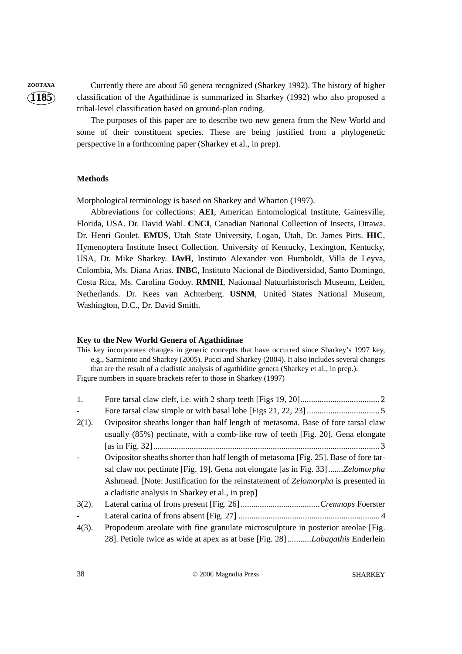**ZOOTAXA** Currently there are about 50 genera recognized (Sharkey 1992). The history of higher classification of the Agathidinae is summarized in Sharkey (1992) who also proposed a tribal-level classification based on ground-plan coding.

> The purposes of this paper are to describe two new genera from the New World and some of their constituent species. These are being justified from a phylogenetic perspective in a forthcoming paper (Sharkey et al., in prep).

#### **Methods**

Morphological terminology is based on Sharkey and Wharton (1997).

Abbreviations for collections: **AEI**, American Entomological Institute, Gainesville, Florida, USA. Dr. David Wahl. **CNCI**, Canadian National Collection of Insects, Ottawa. Dr. Henri Goulet. **EMUS**, Utah State University, Logan, Utah, Dr. James Pitts. **HIC**, Hymenoptera Institute Insect Collection. University of Kentucky, Lexington, Kentucky, USA, Dr. Mike Sharkey. **IAvH**, Instituto Alexander von Humboldt, Villa de Leyva, Colombia, Ms. Diana Arias. **INBC**, Instituto Nacional de Biodiversidad, Santo Domingo, Costa Rica, Ms. Carolina Godoy. **RMNH**, Nationaal Natuurhistorisch Museum, Leiden, Netherlands. Dr. Kees van Achterberg. **USNM**, United States National Museum, Washington, D.C., Dr. David Smith.

#### **Key to the New World Genera of Agathidinae**

This key incorporates changes in generic concepts that have occurred since Sharkey's 1997 key, e.g., Sarmiento and Sharkey (2005), Pucci and Sharkey (2004). It also includes several changes that are the result of a cladistic analysis of agathidine genera (Sharkey et al., in prep.). Figure numbers in square brackets refer to those in Sharkey (1997)

| 1.            |                                                                                                                                                                     |
|---------------|---------------------------------------------------------------------------------------------------------------------------------------------------------------------|
| $\frac{1}{2}$ |                                                                                                                                                                     |
| $2(1)$ .      | Ovipositor sheaths longer than half length of metasoma. Base of fore tarsal claw<br>usually (85%) pectinate, with a comb-like row of teeth [Fig. 20]. Gena elongate |
|               |                                                                                                                                                                     |
|               | Ovipositor sheaths shorter than half length of metasoma [Fig. 25]. Base of fore tar-                                                                                |
|               | sal claw not pectinate [Fig. 19]. Gena not elongate [as in Fig. 33] <i>Zelomorpha</i>                                                                               |
|               | Ashmead. [Note: Justification for the reinstatement of Zelomorpha is presented in                                                                                   |
|               | a cladistic analysis in Sharkey et al., in prep]                                                                                                                    |
| $3(2)$ .      |                                                                                                                                                                     |
| $\bar{a}$     |                                                                                                                                                                     |
| $4(3)$ .      | Propodeum are olate with fine granulate microsculpture in posterior are olae [Fig.                                                                                  |
|               |                                                                                                                                                                     |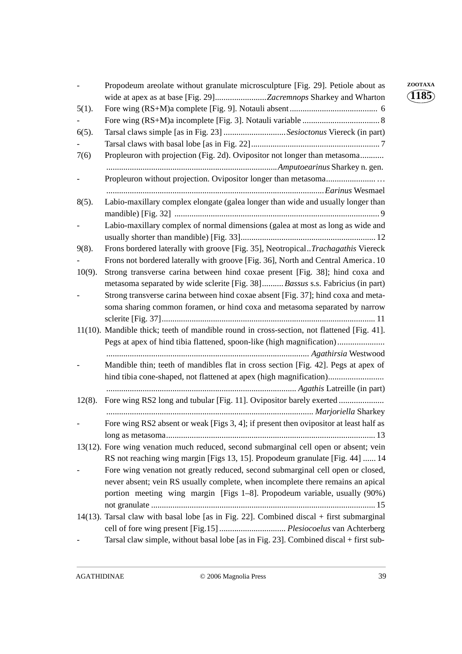|           | Propodeum areolate without granulate microsculpture [Fig. 29]. Petiole about as            | ZOOTAXA                |
|-----------|--------------------------------------------------------------------------------------------|------------------------|
|           | wide at apex as at base [Fig. 29]Zacremnops Sharkey and Wharton                            | $\langle 1185 \rangle$ |
| $5(1)$ .  |                                                                                            |                        |
|           |                                                                                            |                        |
| $6(5)$ .  | Tarsal claws simple [as in Fig. 23] Sesioctonus Viereck (in part)                          |                        |
|           |                                                                                            |                        |
| 7(6)      | Propleuron with projection (Fig. 2d). Ovipositor not longer than metasoma                  |                        |
|           |                                                                                            |                        |
|           |                                                                                            |                        |
|           |                                                                                            |                        |
| $8(5)$ .  | Labio-maxillary complex elongate (galea longer than wide and usually longer than           |                        |
|           |                                                                                            |                        |
|           | Labio-maxillary complex of normal dimensions (galea at most as long as wide and            |                        |
|           |                                                                                            |                        |
| $9(8)$ .  | Frons bordered laterally with groove [Fig. 35], Neotropical <i>Trachagathis</i> Viereck    |                        |
|           | Frons not bordered laterally with groove [Fig. 36], North and Central America. 10          |                        |
| $10(9)$ . | Strong transverse carina between hind coxae present [Fig. 38]; hind coxa and               |                        |
|           | metasoma separated by wide sclerite [Fig. 38] Bassus s.s. Fabricius (in part)              |                        |
|           | Strong transverse carina between hind coxae absent [Fig. 37]; hind coxa and meta-          |                        |
|           | soma sharing common foramen, or hind coxa and metasoma separated by narrow                 |                        |
|           |                                                                                            |                        |
|           | 11(10). Mandible thick; teeth of mandible round in cross-section, not flattened [Fig. 41]. |                        |
|           | Pegs at apex of hind tibia flattened, spoon-like (high magnification)                      |                        |
|           |                                                                                            |                        |
|           | Mandible thin; teeth of mandibles flat in cross section [Fig. 42]. Pegs at apex of         |                        |
|           | hind tibia cone-shaped, not flattened at apex (high magnification)                         |                        |
|           |                                                                                            |                        |
| $12(8)$ . | Fore wing RS2 long and tubular [Fig. 11]. Ovipositor barely exerted                        |                        |
|           |                                                                                            |                        |
|           | Fore wing RS2 absent or weak [Figs 3, 4]; if present then ovipositor at least half as      |                        |
|           |                                                                                            |                        |
|           | 13(12). Fore wing venation much reduced, second submarginal cell open or absent; vein      |                        |
|           | RS not reaching wing margin [Figs 13, 15]. Propodeum granulate [Fig. 44]  14               |                        |
|           | Fore wing venation not greatly reduced, second submarginal cell open or closed,            |                        |
|           | never absent; vein RS usually complete, when incomplete there remains an apical            |                        |
|           | portion meeting wing margin [Figs 1-8]. Propodeum variable, usually (90%)                  |                        |
|           |                                                                                            |                        |
|           | 14(13). Tarsal claw with basal lobe [as in Fig. 22]. Combined discal + first submarginal   |                        |
|           | cell of fore wing present [Fig.15]  Plesiocoelus van Achterberg                            |                        |
|           | Tarsal claw simple, without basal lobe [as in Fig. 23]. Combined discal + first sub-       |                        |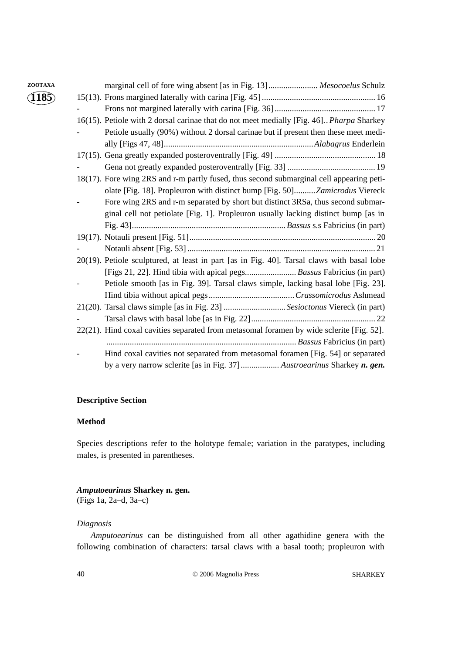| ZOOTAXA | marginal cell of fore wing absent [as in Fig. 13] Mesocoelus Schulz                              |
|---------|--------------------------------------------------------------------------------------------------|
| (1185)  |                                                                                                  |
|         |                                                                                                  |
|         | 16(15). Petiole with 2 dorsal carinae that do not meet medially [Fig. 46]. <i>Pharpa</i> Sharkey |
|         | Petiole usually (90%) without 2 dorsal carinae but if present then these meet medi-              |
|         |                                                                                                  |
|         |                                                                                                  |
|         |                                                                                                  |
|         | 18(17). Fore wing 2RS and r-m partly fused, thus second submarginal cell appearing peti-         |
|         | olate [Fig. 18]. Propleuron with distinct bump [Fig. 50]Zamicrodus Viereck                       |
|         | Fore wing 2RS and r-m separated by short but distinct 3RSa, thus second submar-                  |
|         | ginal cell not petiolate [Fig. 1]. Propleuron usually lacking distinct bump [as in               |
|         |                                                                                                  |
|         |                                                                                                  |
|         |                                                                                                  |
|         | 20(19). Petiole sculptured, at least in part [as in Fig. 40]. Tarsal claws with basal lobe       |
|         | [Figs 21, 22]. Hind tibia with apical pegs Bassus Fabricius (in part)                            |
|         | Petiole smooth [as in Fig. 39]. Tarsal claws simple, lacking basal lobe [Fig. 23].               |
|         |                                                                                                  |
|         | 21(20). Tarsal claws simple [as in Fig. 23] Sesioctonus Viereck (in part)                        |
|         |                                                                                                  |
|         | 22(21). Hind coxal cavities separated from metasomal foramen by wide sclerite [Fig. 52].         |
|         |                                                                                                  |
|         | Hind coxal cavities not separated from metasomal foramen [Fig. 54] or separated                  |
|         | by a very narrow sclerite [as in Fig. 37] Austroearinus Sharkey n. gen.                          |

## **Descriptive Section**

## **Method**

Species descriptions refer to the holotype female; variation in the paratypes, including males, is presented in parentheses.

## *Amputoearinus* **Sharkey n. gen.**

(Figs 1a, 2a–d, 3a–c)

## *Diagnosis*

*Amputoearinus* can be distinguished from all other agathidine genera with the following combination of characters: tarsal claws with a basal tooth; propleuron with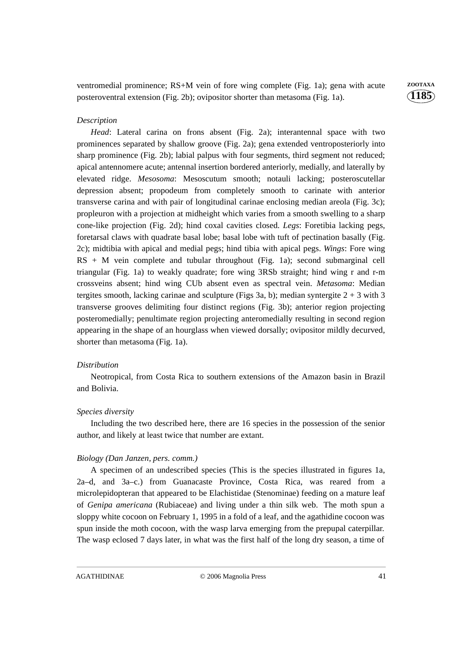ventromedial prominence; RS+M vein of fore wing complete (Fig. 1a); gena with acute **ZOOTAXA** posteroventral extension (Fig. 2b); ovipositor shorter than metasoma (Fig. 1a).

**1185**

## *Description*

*Head*: Lateral carina on frons absent (Fig. 2a); interantennal space with two prominences separated by shallow groove (Fig. 2a); gena extended ventroposteriorly into sharp prominence (Fig. 2b); labial palpus with four segments, third segment not reduced; apical antennomere acute; antennal insertion bordered anteriorly, medially, and laterally by elevated ridge. *Mesosoma*: Mesoscutum smooth; notauli lacking; posteroscutellar depression absent; propodeum from completely smooth to carinate with anterior transverse carina and with pair of longitudinal carinae enclosing median areola (Fig. 3c); propleuron with a projection at midheight which varies from a smooth swelling to a sharp cone-like projection (Fig. 2d); hind coxal cavities closed. *Legs*: Foretibia lacking pegs, foretarsal claws with quadrate basal lobe; basal lobe with tuft of pectination basally (Fig. 2c); midtibia with apical and medial pegs; hind tibia with apical pegs. *Wings*: Fore wing RS + M vein complete and tubular throughout (Fig. 1a); second submarginal cell triangular (Fig. 1a) to weakly quadrate; fore wing 3RSb straight; hind wing r and r-m crossveins absent; hind wing CUb absent even as spectral vein. *Metasoma*: Median tergites smooth, lacking carinae and sculpture (Figs 3a, b); median syntergite  $2 + 3$  with 3 transverse grooves delimiting four distinct regions (Fig. 3b); anterior region projecting posteromedially; penultimate region projecting anteromedially resulting in second region appearing in the shape of an hourglass when viewed dorsally; ovipositor mildly decurved, shorter than metasoma (Fig. 1a).

#### *Distribution*

Neotropical, from Costa Rica to southern extensions of the Amazon basin in Brazil and Bolivia.

#### *Species diversity*

Including the two described here, there are 16 species in the possession of the senior author, and likely at least twice that number are extant.

#### *Biology (Dan Janzen, pers. comm.)*

A specimen of an undescribed species (This is the species illustrated in figures 1a, 2a–d, and 3a–c.) from Guanacaste Province, Costa Rica, was reared from a microlepidopteran that appeared to be Elachistidae (Stenominae) feeding on a mature leaf of *Genipa americana* (Rubiaceae) and living under a thin silk web. The moth spun a sloppy white cocoon on February 1, 1995 in a fold of a leaf, and the agathidine cocoon was spun inside the moth cocoon, with the wasp larva emerging from the prepupal caterpillar. The wasp eclosed 7 days later, in what was the first half of the long dry season, a time of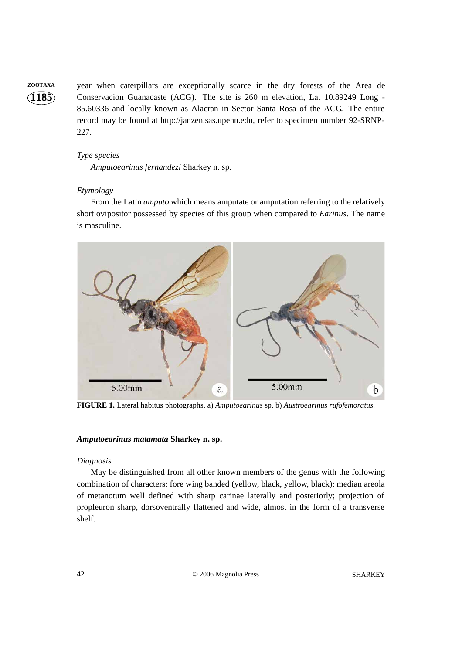**ZOOTAXA** year when caterpillars are exceptionally scarce in the dry forests of the Area de Conservacion Guanacaste (ACG). The site is 260 m elevation, Lat 10.89249 Long - 85.60336 and locally known as Alacran in Sector Santa Rosa of the ACG. The entire record may be found at http://janzen.sas.upenn.edu, refer to specimen number 92-SRNP-227.

## *Type species*

*Amputoearinus fernandezi* Sharkey n. sp.

## *Etymology*

From the Latin *amputo* which means amputate or amputation referring to the relatively short ovipositor possessed by species of this group when compared to *Earinus*. The name is masculine.



**FIGURE 1.** Lateral habitus photographs. a) *Amputoearinus* sp. b) *Austroearinus rufofemoratus.*

## *Amputoearinus matamata* **Sharkey n. sp.**

## *Diagnosis*

May be distinguished from all other known members of the genus with the following combination of characters: fore wing banded (yellow, black, yellow, black); median areola of metanotum well defined with sharp carinae laterally and posteriorly; projection of propleuron sharp, dorsoventrally flattened and wide, almost in the form of a transverse shelf.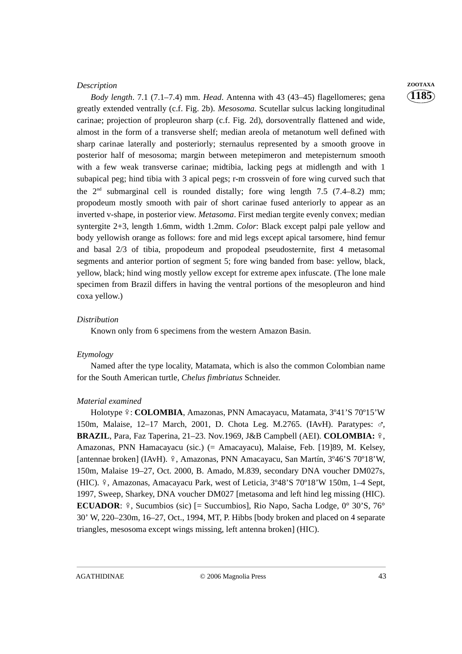#### *Description* **ZOOTAXA**

*Body length*. 7.1 (7.1–7.4) mm. *Head*. Antenna with 43 (43–45) flagellomeres; gena greatly extended ventrally (c.f. Fig. 2b). *Mesosoma.* Scutellar sulcus lacking longitudinal carinae; projection of propleuron sharp (c.f. Fig. 2d), dorsoventrally flattened and wide, almost in the form of a transverse shelf; median areola of metanotum well defined with sharp carinae laterally and posteriorly; sternaulus represented by a smooth groove in posterior half of mesosoma; margin between metepimeron and metepisternum smooth with a few weak transverse carinae; midtibia, lacking pegs at midlength and with 1 subapical peg; hind tibia with 3 apical pegs; r-m crossvein of fore wing curved such that the  $2<sup>nd</sup>$  submarginal cell is rounded distally; fore wing length 7.5 (7.4–8.2) mm; propodeum mostly smooth with pair of short carinae fused anteriorly to appear as an inverted v-shape, in posterior view. *Metasoma*. First median tergite evenly convex; median syntergite 2+3, length 1.6mm, width 1.2mm. *Color*: Black except palpi pale yellow and body yellowish orange as follows: fore and mid legs except apical tarsomere, hind femur and basal 2/3 of tibia, propodeum and propodeal pseudosternite, first 4 metasomal segments and anterior portion of segment 5; fore wing banded from base: yellow, black, yellow, black; hind wing mostly yellow except for extreme apex infuscate. (The lone male specimen from Brazil differs in having the ventral portions of the mesopleuron and hind coxa yellow.)

#### *Distribution*

Known only from 6 specimens from the western Amazon Basin.

## *Etymology*

Named after the type locality, Matamata, which is also the common Colombian name for the South American turtle, *Chelus fimbriatus* Schneider.

#### *Material examined*

Holotype  $\frac{1}{2}$ : **COLOMBIA**, Amazonas, PNN Amacayacu, Matamata, 3°41'S 70°15'W 150m, Malaise, 12–17 March, 2001, D. Chota Leg. M.2765. (IAvH). Paratypes:  $\sigma$ , **BRAZIL**, Para, Faz Taperina, 21–23. Nov.1969, J&B Campbell (AEI). **COLOMBIA:** , Amazonas, PNN Hamacayacu (sic.) (= Amacayacu), Malaise, Feb. [19]89, M. Kelsey, [antennae broken] (IAvH). 9, Amazonas, PNN Amacayacu, San Martín, 3°46'S 70°18'W, 150m, Malaise 19–27, Oct. 2000, B. Amado, M.839, secondary DNA voucher DM027s, (HIC).  $9$ , Amazonas, Amacayacu Park, west of Leticia,  $3^{\circ}48'$ S  $70^{\circ}18'$ W 150m, 1–4 Sept, 1997, Sweep, Sharkey, DNA voucher DM027 [metasoma and left hind leg missing (HIC). **ECUADOR**:  $\hat{z}$ , Sucumbios (sic) [= Succumbios], Rio Napo, Sacha Lodge,  $0^{\circ}$  30'S, 76<sup>°</sup> 30' W, 220–230m, 16–27, Oct., 1994, MT, P. Hibbs [body broken and placed on 4 separate triangles, mesosoma except wings missing, left antenna broken] (HIC).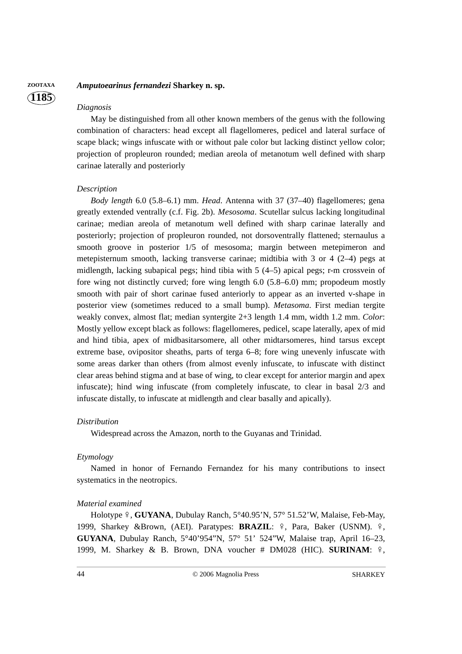## **ZOOTAXA** *Amputoearinus fernandezi* **Sharkey n. sp.**

#### *Diagnosis*

**1185**

May be distinguished from all other known members of the genus with the following combination of characters: head except all flagellomeres, pedicel and lateral surface of scape black; wings infuscate with or without pale color but lacking distinct yellow color; projection of propleuron rounded; median areola of metanotum well defined with sharp carinae laterally and posteriorly

#### *Description*

*Body length* 6.0 (5.8–6.1) mm. *Head*. Antenna with 37 (37–40) flagellomeres; gena greatly extended ventrally (c.f. Fig. 2b). *Mesosoma*. Scutellar sulcus lacking longitudinal carinae; median areola of metanotum well defined with sharp carinae laterally and posteriorly; projection of propleuron rounded, not dorsoventrally flattened; sternaulus a smooth groove in posterior 1/5 of mesosoma; margin between metepimeron and metepisternum smooth, lacking transverse carinae; midtibia with 3 or 4 (2–4) pegs at midlength, lacking subapical pegs; hind tibia with 5 (4–5) apical pegs; r-m crossvein of fore wing not distinctly curved; fore wing length 6.0 (5.8–6.0) mm; propodeum mostly smooth with pair of short carinae fused anteriorly to appear as an inverted v-shape in posterior view (sometimes reduced to a small bump). *Metasoma*. First median tergite weakly convex, almost flat; median syntergite 2+3 length 1.4 mm, width 1.2 mm. *Color*: Mostly yellow except black as follows: flagellomeres, pedicel, scape laterally, apex of mid and hind tibia, apex of midbasitarsomere, all other midtarsomeres, hind tarsus except extreme base, ovipositor sheaths, parts of terga 6–8; fore wing unevenly infuscate with some areas darker than others (from almost evenly infuscate, to infuscate with distinct clear areas behind stigma and at base of wing, to clear except for anterior margin and apex infuscate); hind wing infuscate (from completely infuscate, to clear in basal 2/3 and infuscate distally, to infuscate at midlength and clear basally and apically).

#### *Distribution*

Widespread across the Amazon, north to the Guyanas and Trinidad.

## *Etymology*

Named in honor of Fernando Fernandez for his many contributions to insect systematics in the neotropics.

#### *Material examined*

Holotype 9, **GUYANA**, Dubulay Ranch, 5°40.95'N, 57° 51.52'W, Malaise, Feb-May, 1999, Sharkey &Brown, (AEI). Paratypes: **BRAZIL**:  $\frac{9}{7}$ , Para, Baker (USNM).  $\frac{9}{7}$ , **GUYANA**, Dubulay Ranch, 5°40'954"N, 57° 51' 524"W, Malaise trap, April 16–23, 1999, M. Sharkey & B. Brown, DNA voucher # DM028 (HIC). **SURINAM**:  $\frac{9}{7}$ ,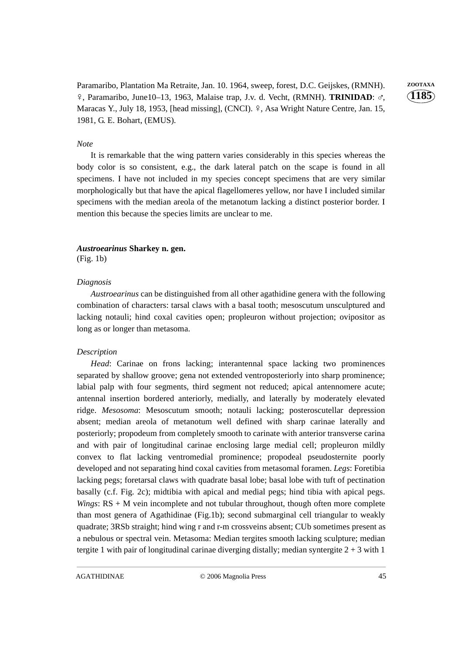Paramaribo, Plantation Ma Retraite, Jan. 10. 1964, sweep, forest, D.C. Geijskes, (RMNH). **ZOOTAXA** 9, Paramaribo, June10-13, 1963, Malaise trap, J.v. d. Vecht, (RMNH). TRINIDAD: o<sup>7</sup>, Maracas Y., July 18, 1953, [head missing], (CNCI). º, Asa Wright Nature Centre, Jan. 15, 1981, G. E. Bohart, (EMUS).

**1185**

#### *Note*

It is remarkable that the wing pattern varies considerably in this species whereas the body color is so consistent, e.g., the dark lateral patch on the scape is found in all specimens. I have not included in my species concept specimens that are very similar morphologically but that have the apical flagellomeres yellow, nor have I included similar specimens with the median areola of the metanotum lacking a distinct posterior border. I mention this because the species limits are unclear to me.

## *Austroearinus* **Sharkey n. gen.**

(Fig. 1b)

#### *Diagnosis*

*Austroearinus* can be distinguished from all other agathidine genera with the following combination of characters: tarsal claws with a basal tooth; mesoscutum unsculptured and lacking notauli; hind coxal cavities open; propleuron without projection; ovipositor as long as or longer than metasoma.

#### *Description*

*Head*: Carinae on frons lacking; interantennal space lacking two prominences separated by shallow groove; gena not extended ventroposteriorly into sharp prominence; labial palp with four segments, third segment not reduced; apical antennomere acute; antennal insertion bordered anteriorly, medially, and laterally by moderately elevated ridge. *Mesosoma*: Mesoscutum smooth; notauli lacking; posteroscutellar depression absent; median areola of metanotum well defined with sharp carinae laterally and posteriorly; propodeum from completely smooth to carinate with anterior transverse carina and with pair of longitudinal carinae enclosing large medial cell; propleuron mildly convex to flat lacking ventromedial prominence; propodeal pseudosternite poorly developed and not separating hind coxal cavities from metasomal foramen. *Legs*: Foretibia lacking pegs; foretarsal claws with quadrate basal lobe; basal lobe with tuft of pectination basally (c.f. Fig. 2c); midtibia with apical and medial pegs; hind tibia with apical pegs. *Wings*: RS + M vein incomplete and not tubular throughout, though often more complete than most genera of Agathidinae (Fig.1b); second submarginal cell triangular to weakly quadrate; 3RSb straight; hind wing r and r-m crossveins absent; CUb sometimes present as a nebulous or spectral vein. Metasoma: Median tergites smooth lacking sculpture; median tergite 1 with pair of longitudinal carinae diverging distally; median syntergite  $2 + 3$  with 1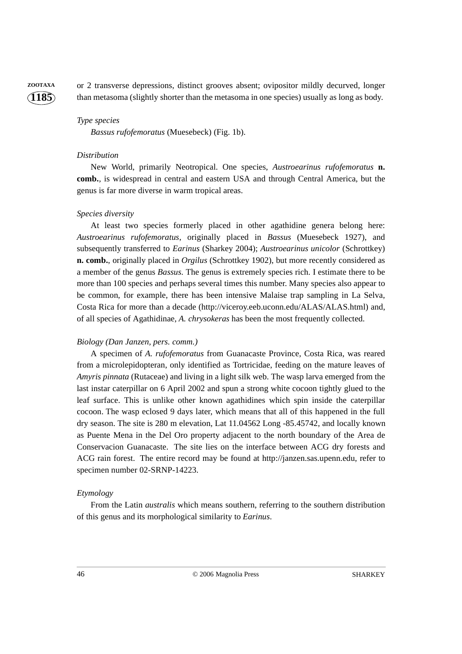**ZOOTAXA** or 2 transverse depressions, distinct grooves absent; ovipositor mildly decurved, longer than metasoma (slightly shorter than the metasoma in one species) usually as long as body.

#### *Type species*

*Bassus rufofemoratus* (Muesebeck) (Fig. 1b).

#### *Distribution*

New World, primarily Neotropical. One species, *Austroearinus rufofemoratus* **n. comb.***,* is widespread in central and eastern USA and through Central America, but the genus is far more diverse in warm tropical areas.

#### *Species diversity*

At least two species formerly placed in other agathidine genera belong here: *Austroearinus rufofemoratus*, originally placed in *Bassus* (Muesebeck 1927), and subsequently transferred to *Earinus* (Sharkey 2004); *Austroearinus unicolor* (Schrottkey) **n. comb.**, originally placed in *Orgilus* (Schrottkey 1902), but more recently considered as a member of the genus *Bassus.* The genus is extremely species rich. I estimate there to be more than 100 species and perhaps several times this number. Many species also appear to be common, for example, there has been intensive Malaise trap sampling in La Selva, Costa Rica for more than a decade (http://viceroy.eeb.uconn.edu/ALAS/ALAS.html) and, of all species of Agathidinae, *A. chrysokeras* has been the most frequently collected.

#### *Biology (Dan Janzen, pers. comm.)*

A specimen of *A. rufofemoratus* from Guanacaste Province, Costa Rica, was reared from a microlepidopteran, only identified as Tortricidae, feeding on the mature leaves of *Amyris pinnata* (Rutaceae) and living in a light silk web. The wasp larva emerged from the last instar caterpillar on 6 April 2002 and spun a strong white cocoon tightly glued to the leaf surface. This is unlike other known agathidines which spin inside the caterpillar cocoon. The wasp eclosed 9 days later, which means that all of this happened in the full dry season. The site is 280 m elevation, Lat 11.04562 Long -85.45742, and locally known as Puente Mena in the Del Oro property adjacent to the north boundary of the Area de Conservacion Guanacaste. The site lies on the interface between ACG dry forests and ACG rain forest. The entire record may be found at http://janzen.sas.upenn.edu, refer to specimen number 02-SRNP-14223.

## *Etymology*

From the Latin *australis* which means southern, referring to the southern distribution of this genus and its morphological similarity to *Earinus*.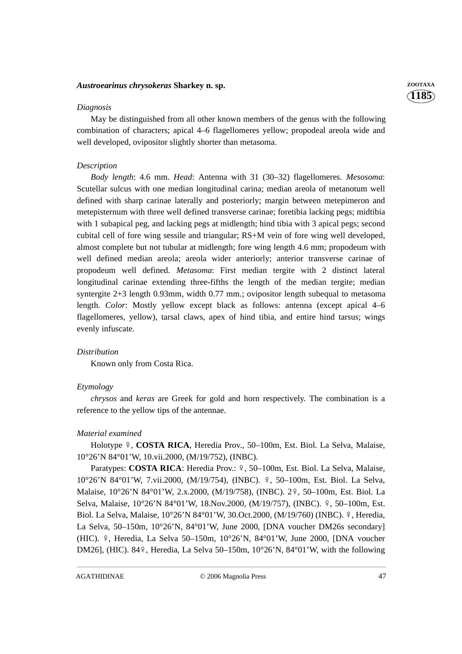## *Austroearinus chrysokeras* **Sharkey n. sp. ZOOTAXA**

#### *Diagnosis*

May be distinguished from all other known members of the genus with the following combination of characters; apical 4–6 flagellomeres yellow; propodeal areola wide and well developed, ovipositor slightly shorter than metasoma.

## *Description*

*Body length*: 4.6 mm. *Head*: Antenna with 31 (30–32) flagellomeres. *Mesosoma*: Scutellar sulcus with one median longitudinal carina; median areola of metanotum well defined with sharp carinae laterally and posteriorly; margin between metepimeron and metepisternum with three well defined transverse carinae; foretibia lacking pegs; midtibia with 1 subapical peg, and lacking pegs at midlength; hind tibia with 3 apical pegs; second cubital cell of fore wing sessile and triangular; RS+M vein of fore wing well developed, almost complete but not tubular at midlength; fore wing length 4.6 mm; propodeum with well defined median areola; areola wider anteriorly; anterior transverse carinae of propodeum well defined. *Metasoma*: First median tergite with 2 distinct lateral longitudinal carinae extending three-fifths the length of the median tergite; median syntergite 2+3 length 0.93mm, width 0.77 mm.; ovipositor length subequal to metasoma length. *Color*: Mostly yellow except black as follows: antenna (except apical 4–6 flagellomeres, yellow), tarsal claws, apex of hind tibia, and entire hind tarsus; wings evenly infuscate.

#### *Distribution*

Known only from Costa Rica.

#### *Etymology*

*chrysos* and *keras* are Greek for gold and horn respectively. The combination is a reference to the yellow tips of the antennae.

#### *Material examined*

Holotype 9, **COSTA RICA**, Heredia Prov., 50–100m, Est. Biol. La Selva, Malaise, 10°26'N 84°01'W, 10.vii.2000, (M/19/752), (INBC).

Paratypes: **COSTA RICA**: Heredia Prov.:  $\frac{9}{50}$ , 50–100m, Est. Biol. La Selva, Malaise, 10°26'N 84°01'W, 7.vii.2000, (M/19/754), (INBC). º, 50-100m, Est. Biol. La Selva, Malaise, 10°26'N 84°01'W, 2.x.2000, (M/19/758), (INBC). 2º, 50–100m, Est. Biol. La Selva, Malaise, 10°26'N 84°01'W, 18.Nov.2000, (M/19/757), (INBC). 9, 50–100m, Est. Biol. La Selva, Malaise, 10°26'N 84°01'W, 30.Oct.2000, (M/19/760) (INBC). º, Heredia, La Selva, 50–150m, 10°26'N, 84°01'W, June 2000, [DNA voucher DM26s secondary] (HIC).  $\degree$ , Heredia, La Selva 50–150m, 10°26'N, 84°01'W, June 2000, [DNA voucher DM26], (HIC). 849, Heredia, La Selva 50–150m, 10°26'N, 84°01'W, with the following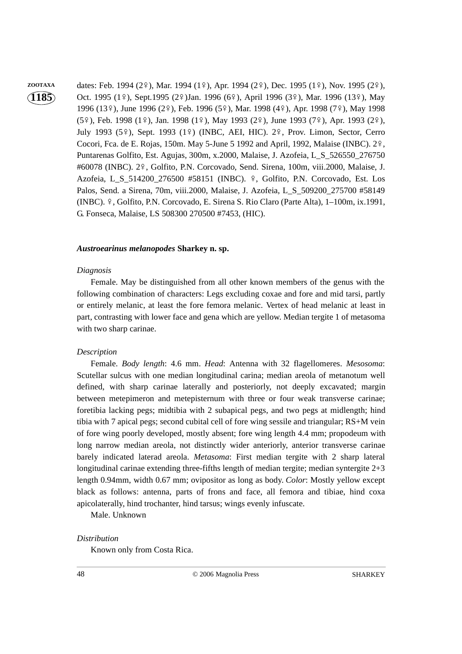zootaxa dates: Feb. 1994 (2º), Mar. 1994 (1º), Apr. 1994 (2º), Dec. 1995 (1º), Nov. 1995 (2º), Oct. 1995 (1º), Sept.1995 (2º)Jan. 1996 (6º), April 1996 (3º), Mar. 1996 (13º), May 1996 (13º), June 1996 (2º), Feb. 1996 (5º), Mar. 1998 (4º), Apr. 1998 (7º), May 1998  $(5\frac{9}{9})$ , Feb. 1998 (1 $\frac{9}{9}$ ), Jan. 1998 (1 $\frac{9}{9}$ ), May 1993 (2 $\frac{9}{9}$ ), June 1993 (7 $\frac{9}{9}$ ), Apr. 1993 (2 $\frac{9}{9}$ ), July 1993 (5º), Sept. 1993 (1º) (INBC, AEI, HIC). 2º, Prov. Limon, Sector, Cerro Cocori, Fca. de E. Rojas, 150m. May 5-June 5 1992 and April, 1992, Malaise (INBC).  $2\frac{9}{3}$ , Puntarenas Golfito, Est. Agujas, 300m, x.2000, Malaise, J. Azofeia, L\_S\_526550\_276750 #60078 (INBC). 2º, Golfito, P.N. Corcovado, Send. Sirena, 100m, viii.2000, Malaise, J. Azofeia, L\_S\_514200\_276500 #58151 (INBC). º, Golfito, P.N. Corcovado, Est. Los Palos, Send. a Sirena, 70m, viii.2000, Malaise, J. Azofeia, L\_S\_509200\_275700 #58149 (INBC).  $\frac{9}{7}$ , Golfito, P.N. Corcovado, E. Sirena S. Rio Claro (Parte Alta), 1–100m, ix.1991, G. Fonseca, Malaise, LS 508300 270500 #7453, (HIC).

## *Austroearinus melanopodes* **Sharkey n. sp.**

## *Diagnosis*

Female. May be distinguished from all other known members of the genus with the following combination of characters: Legs excluding coxae and fore and mid tarsi, partly or entirely melanic, at least the fore femora melanic. Vertex of head melanic at least in part, contrasting with lower face and gena which are yellow. Median tergite 1 of metasoma with two sharp carinae.

## *Description*

Female. *Body length*: 4.6 mm. *Head*: Antenna with 32 flagellomeres. *Mesosoma*: Scutellar sulcus with one median longitudinal carina; median areola of metanotum well defined, with sharp carinae laterally and posteriorly, not deeply excavated; margin between metepimeron and metepisternum with three or four weak transverse carinae; foretibia lacking pegs; midtibia with 2 subapical pegs, and two pegs at midlength; hind tibia with 7 apical pegs; second cubital cell of fore wing sessile and triangular; RS+M vein of fore wing poorly developed, mostly absent; fore wing length 4.4 mm; propodeum with long narrow median areola, not distinctly wider anteriorly, anterior transverse carinae barely indicated laterad areola. *Metasoma*: First median tergite with 2 sharp lateral longitudinal carinae extending three-fifths length of median tergite; median syntergite 2+3 length 0.94mm, width 0.67 mm; ovipositor as long as body. *Color*: Mostly yellow except black as follows: antenna, parts of frons and face, all femora and tibiae, hind coxa apicolaterally, hind trochanter, hind tarsus; wings evenly infuscate.

Male. Unknown

## *Distribution*

Known only from Costa Rica.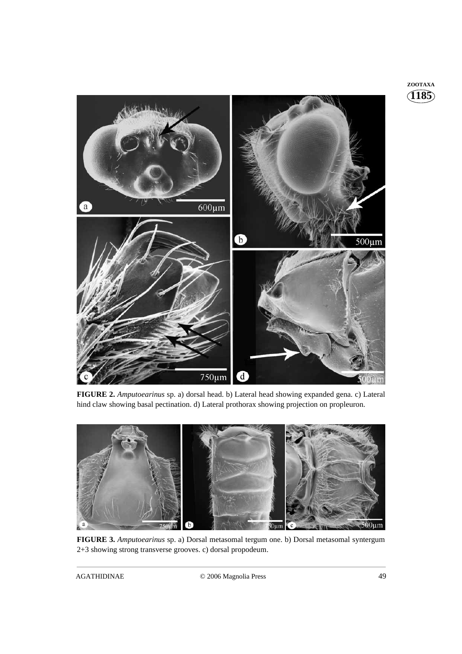

**FIGURE 2.** *Amputoearinus* sp. a) dorsal head. b) Lateral head showing expanded gena. c) Lateral hind claw showing basal pectination. d) Lateral prothorax showing projection on propleuron.



**FIGURE 3.** *Amputoearinus* sp. a) Dorsal metasomal tergum one. b) Dorsal metasomal syntergum 2+3 showing strong transverse grooves. c) dorsal propodeum.

**1185 ZOOTAXA**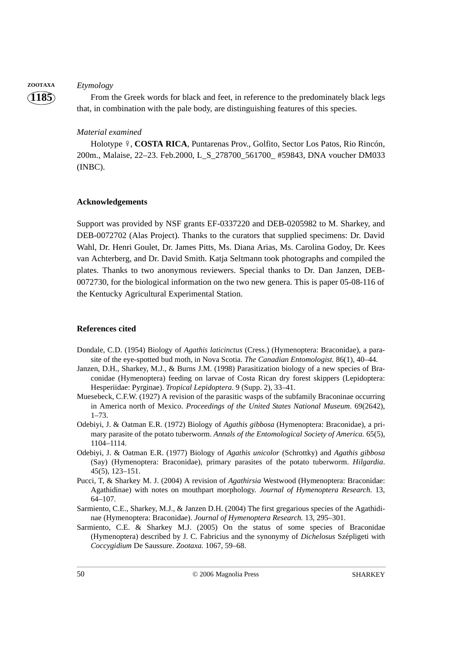## **ZOOTAXA** *Etymology*

**1185**

From the Greek words for black and feet, in reference to the predominately black legs that, in combination with the pale body, are distinguishing features of this species.

## *Material examined*

Holotype 9, **COSTA RICA**, Puntarenas Prov., Golfito, Sector Los Patos, Rio Rincón, 200m., Malaise, 22–23. Feb.2000, L\_S\_278700\_561700\_ #59843, DNA voucher DM033 (INBC).

#### **Acknowledgements**

Support was provided by NSF grants EF-0337220 and DEB-0205982 to M. Sharkey, and DEB-0072702 (Alas Project). Thanks to the curators that supplied specimens: Dr. David Wahl, Dr. Henri Goulet, Dr. James Pitts, Ms. Diana Arias, Ms. Carolina Godoy, Dr. Kees van Achterberg, and Dr. David Smith. Katja Seltmann took photographs and compiled the plates. Thanks to two anonymous reviewers. Special thanks to Dr. Dan Janzen, DEB-0072730, for the biological information on the two new genera. This is paper 05-08-116 of the Kentucky Agricultural Experimental Station.

#### **References cited**

- Dondale, C.D. (1954) Biology of *Agathis laticinctus* (Cress.) (Hymenoptera: Braconidae), a parasite of the eye-spotted bud moth, in Nova Scotia. *The Canadian Entomologist.* 86(1), 40–44.
- Janzen, D.H., Sharkey, M.J., & Burns J.M. (1998) Parasitization biology of a new species of Braconidae (Hymenoptera) feeding on larvae of Costa Rican dry forest skippers (Lepidoptera: Hesperiidae: Pyrginae). *Tropical Lepidoptera*. 9 (Supp. 2), 33–41.
- Muesebeck, C.F.W. (1927) A revision of the parasitic wasps of the subfamily Braconinae occurring in America north of Mexico. *Proceedings of the United States National Museum*. 69(2642), 1–73.
- Odebiyi, J. & Oatman E.R. (1972) Biology of *Agathis gibbosa* (Hymenoptera: Braconidae), a primary parasite of the potato tuberworm. *Annals of the Entomological Society of America.* 65(5), 1104–1114.
- Odebiyi, J. & Oatman E.R. (1977) Biology of *Agathis unicolor* (Schrottky) and *Agathis gibbosa* (Say) (Hymenoptera: Braconidae), primary parasites of the potato tuberworm. *Hilgardia*. 45(5), 123–151.
- Pucci, T, & Sharkey M. J. (2004) A revision of *Agathirsia* Westwood (Hymenoptera: Braconidae: Agathidinae) with notes on mouthpart morphology. *Journal of Hymenoptera Research.* 13, 64–107.
- Sarmiento, C.E., Sharkey, M.J., & Janzen D.H. (2004) The first gregarious species of the Agathidinae (Hymenoptera: Braconidae). *Journal of Hymenoptera Research.* 13, 295–301.
- Sarmiento, C.E. & Sharkey M.J. (2005) On the status of some species of Braconidae (Hymenoptera) described by J. C. Fabricius and the synonymy of *Dichelosus* Szépligeti with *Coccygidium* De Saussure. *Zootaxa.* 1067, 59–68.